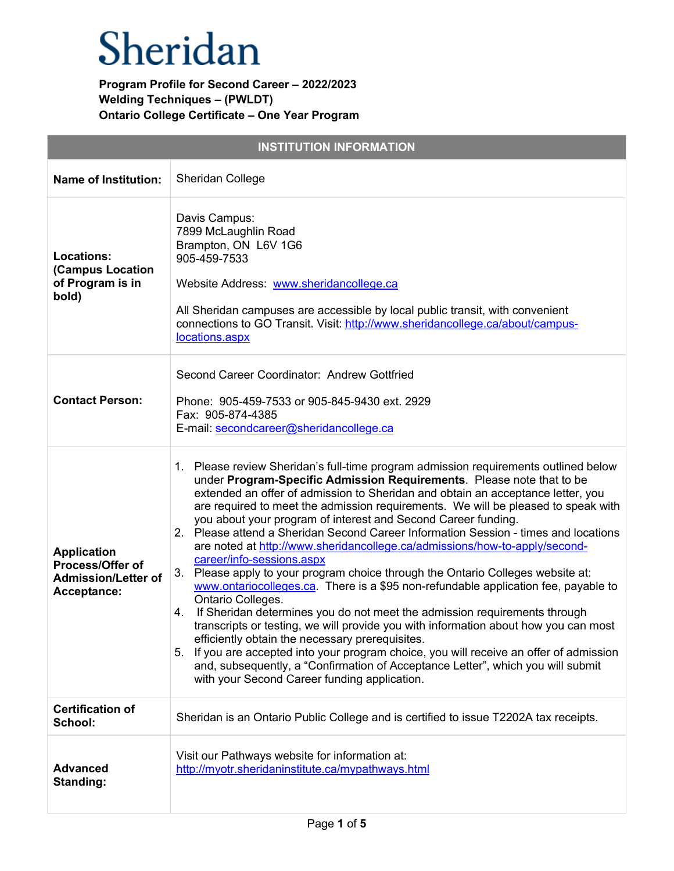|                                                                                     | <b>INSTITUTION INFORMATION</b>                                                                                                                                                                                                                                                                                                                                                                                                                                                                                                                                                                                                                                                                                                                                                                                                                                                                                                                                                                                                                                                                                                                                                                                                                                   |
|-------------------------------------------------------------------------------------|------------------------------------------------------------------------------------------------------------------------------------------------------------------------------------------------------------------------------------------------------------------------------------------------------------------------------------------------------------------------------------------------------------------------------------------------------------------------------------------------------------------------------------------------------------------------------------------------------------------------------------------------------------------------------------------------------------------------------------------------------------------------------------------------------------------------------------------------------------------------------------------------------------------------------------------------------------------------------------------------------------------------------------------------------------------------------------------------------------------------------------------------------------------------------------------------------------------------------------------------------------------|
| <b>Name of Institution:</b>                                                         | Sheridan College                                                                                                                                                                                                                                                                                                                                                                                                                                                                                                                                                                                                                                                                                                                                                                                                                                                                                                                                                                                                                                                                                                                                                                                                                                                 |
| Locations:<br>(Campus Location<br>of Program is in<br>bold)                         | Davis Campus:<br>7899 McLaughlin Road<br>Brampton, ON L6V 1G6<br>905-459-7533<br>Website Address: www.sheridancollege.ca<br>All Sheridan campuses are accessible by local public transit, with convenient<br>connections to GO Transit. Visit: http://www.sheridancollege.ca/about/campus-<br>locations.aspx                                                                                                                                                                                                                                                                                                                                                                                                                                                                                                                                                                                                                                                                                                                                                                                                                                                                                                                                                     |
| <b>Contact Person:</b>                                                              | Second Career Coordinator: Andrew Gottfried<br>Phone: 905-459-7533 or 905-845-9430 ext. 2929<br>Fax: 905-874-4385<br>E-mail: secondcareer@sheridancollege.ca                                                                                                                                                                                                                                                                                                                                                                                                                                                                                                                                                                                                                                                                                                                                                                                                                                                                                                                                                                                                                                                                                                     |
| <b>Application</b><br>Process/Offer of<br><b>Admission/Letter of</b><br>Acceptance: | 1. Please review Sheridan's full-time program admission requirements outlined below<br>under Program-Specific Admission Requirements. Please note that to be<br>extended an offer of admission to Sheridan and obtain an acceptance letter, you<br>are required to meet the admission requirements. We will be pleased to speak with<br>you about your program of interest and Second Career funding.<br>2. Please attend a Sheridan Second Career Information Session - times and locations<br>are noted at http://www.sheridancollege.ca/admissions/how-to-apply/second-<br>career/info-sessions.aspx<br>3. Please apply to your program choice through the Ontario Colleges website at:<br>www.ontariocolleges.ca. There is a \$95 non-refundable application fee, payable to<br>Ontario Colleges.<br>If Sheridan determines you do not meet the admission requirements through<br>4.<br>transcripts or testing, we will provide you with information about how you can most<br>efficiently obtain the necessary prerequisites.<br>5. If you are accepted into your program choice, you will receive an offer of admission<br>and, subsequently, a "Confirmation of Acceptance Letter", which you will submit<br>with your Second Career funding application. |
| <b>Certification of</b><br>School:                                                  | Sheridan is an Ontario Public College and is certified to issue T2202A tax receipts.                                                                                                                                                                                                                                                                                                                                                                                                                                                                                                                                                                                                                                                                                                                                                                                                                                                                                                                                                                                                                                                                                                                                                                             |
| <b>Advanced</b><br>Standing:                                                        | Visit our Pathways website for information at:<br>http://myotr.sheridaninstitute.ca/mypathways.html                                                                                                                                                                                                                                                                                                                                                                                                                                                                                                                                                                                                                                                                                                                                                                                                                                                                                                                                                                                                                                                                                                                                                              |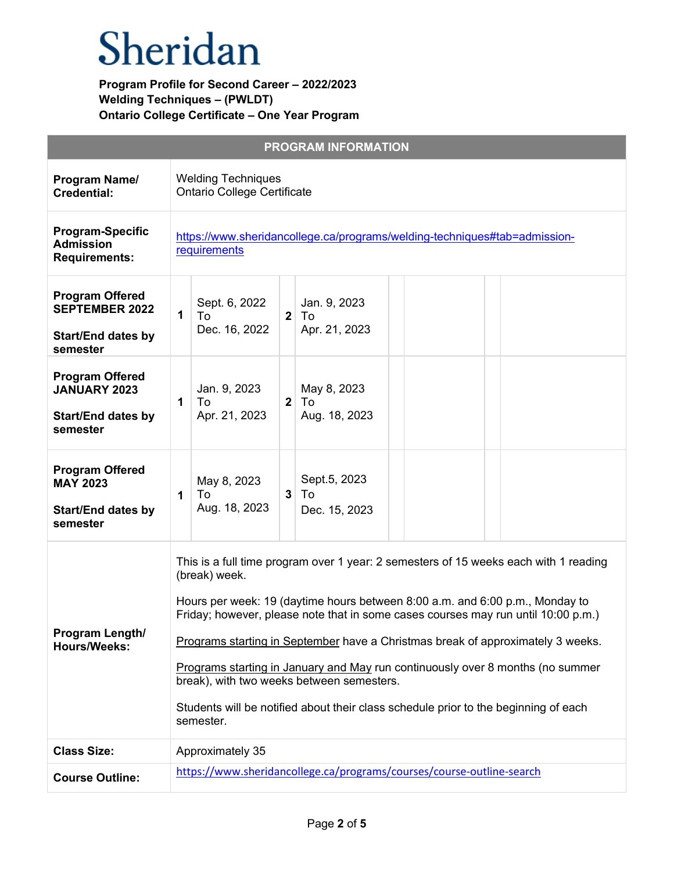| <b>PROGRAM INFORMATION</b>                                                               |                                                                                                                                                                                                                                                                                                                                                                                                                                                                                                                                                                                                  |  |
|------------------------------------------------------------------------------------------|--------------------------------------------------------------------------------------------------------------------------------------------------------------------------------------------------------------------------------------------------------------------------------------------------------------------------------------------------------------------------------------------------------------------------------------------------------------------------------------------------------------------------------------------------------------------------------------------------|--|
| Program Name/<br><b>Credential:</b>                                                      | <b>Welding Techniques</b><br><b>Ontario College Certificate</b>                                                                                                                                                                                                                                                                                                                                                                                                                                                                                                                                  |  |
| <b>Program-Specific</b><br><b>Admission</b><br><b>Requirements:</b>                      | https://www.sheridancollege.ca/programs/welding-techniques#tab=admission-<br>requirements                                                                                                                                                                                                                                                                                                                                                                                                                                                                                                        |  |
| <b>Program Offered</b><br><b>SEPTEMBER 2022</b><br><b>Start/End dates by</b><br>semester | Sept. 6, 2022<br>Jan. 9, 2023<br>$\mathbf 1$<br>2 <sup>1</sup><br>To<br>To<br>Dec. 16, 2022<br>Apr. 21, 2023                                                                                                                                                                                                                                                                                                                                                                                                                                                                                     |  |
| <b>Program Offered</b><br><b>JANUARY 2023</b><br><b>Start/End dates by</b><br>semester   | Jan. 9, 2023<br>May 8, 2023<br>$\mathbf 1$<br>To<br>2 <sup>1</sup><br>To<br>Apr. 21, 2023<br>Aug. 18, 2023                                                                                                                                                                                                                                                                                                                                                                                                                                                                                       |  |
| <b>Program Offered</b><br><b>MAY 2023</b><br><b>Start/End dates by</b><br>semester       | Sept.5, 2023<br>May 8, 2023<br>3 <sup>1</sup><br>To<br>To<br>1<br>Aug. 18, 2023<br>Dec. 15, 2023                                                                                                                                                                                                                                                                                                                                                                                                                                                                                                 |  |
| Program Length/<br><b>Hours/Weeks:</b>                                                   | This is a full time program over 1 year: 2 semesters of 15 weeks each with 1 reading<br>(break) week.<br>Hours per week: 19 (daytime hours between 8:00 a.m. and 6:00 p.m., Monday to<br>Friday; however, please note that in some cases courses may run until 10:00 p.m.)<br>Programs starting in September have a Christmas break of approximately 3 weeks.<br>Programs starting in January and May run continuously over 8 months (no summer<br>break), with two weeks between semesters.<br>Students will be notified about their class schedule prior to the beginning of each<br>semester. |  |
| <b>Class Size:</b>                                                                       | Approximately 35                                                                                                                                                                                                                                                                                                                                                                                                                                                                                                                                                                                 |  |
| <b>Course Outline:</b>                                                                   | https://www.sheridancollege.ca/programs/courses/course-outline-search                                                                                                                                                                                                                                                                                                                                                                                                                                                                                                                            |  |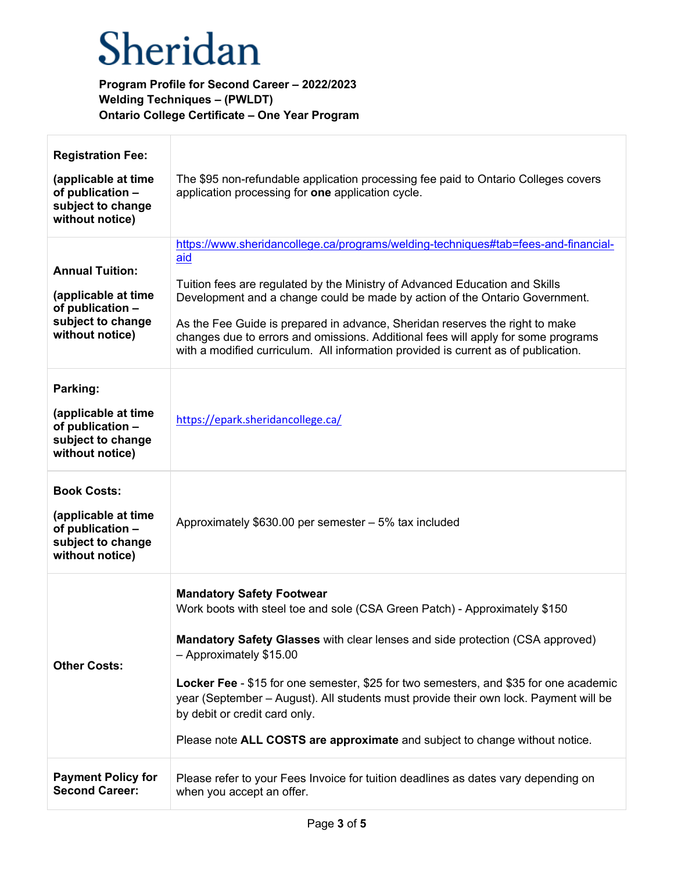| <b>Registration Fee:</b>                                                                                  |                                                                                                                                                                                                                                                                                                                                                                                                                                                                                                                             |
|-----------------------------------------------------------------------------------------------------------|-----------------------------------------------------------------------------------------------------------------------------------------------------------------------------------------------------------------------------------------------------------------------------------------------------------------------------------------------------------------------------------------------------------------------------------------------------------------------------------------------------------------------------|
| (applicable at time<br>of publication -<br>subject to change<br>without notice)                           | The \$95 non-refundable application processing fee paid to Ontario Colleges covers<br>application processing for one application cycle.                                                                                                                                                                                                                                                                                                                                                                                     |
| <b>Annual Tuition:</b><br>(applicable at time<br>of publication -<br>subject to change<br>without notice) | https://www.sheridancollege.ca/programs/welding-techniques#tab=fees-and-financial-<br>aid<br>Tuition fees are regulated by the Ministry of Advanced Education and Skills<br>Development and a change could be made by action of the Ontario Government.<br>As the Fee Guide is prepared in advance, Sheridan reserves the right to make<br>changes due to errors and omissions. Additional fees will apply for some programs<br>with a modified curriculum. All information provided is current as of publication.          |
| Parking:<br>(applicable at time<br>of publication -<br>subject to change<br>without notice)               | https://epark.sheridancollege.ca/                                                                                                                                                                                                                                                                                                                                                                                                                                                                                           |
| <b>Book Costs:</b><br>(applicable at time<br>of publication -<br>subject to change<br>without notice)     | Approximately \$630.00 per semester - 5% tax included                                                                                                                                                                                                                                                                                                                                                                                                                                                                       |
| <b>Other Costs:</b>                                                                                       | <b>Mandatory Safety Footwear</b><br>Work boots with steel toe and sole (CSA Green Patch) - Approximately \$150<br>Mandatory Safety Glasses with clear lenses and side protection (CSA approved)<br>- Approximately \$15.00<br>Locker Fee - \$15 for one semester, \$25 for two semesters, and \$35 for one academic<br>year (September – August). All students must provide their own lock. Payment will be<br>by debit or credit card only.<br>Please note ALL COSTS are approximate and subject to change without notice. |
| <b>Payment Policy for</b><br><b>Second Career:</b>                                                        | Please refer to your Fees Invoice for tuition deadlines as dates vary depending on<br>when you accept an offer.                                                                                                                                                                                                                                                                                                                                                                                                             |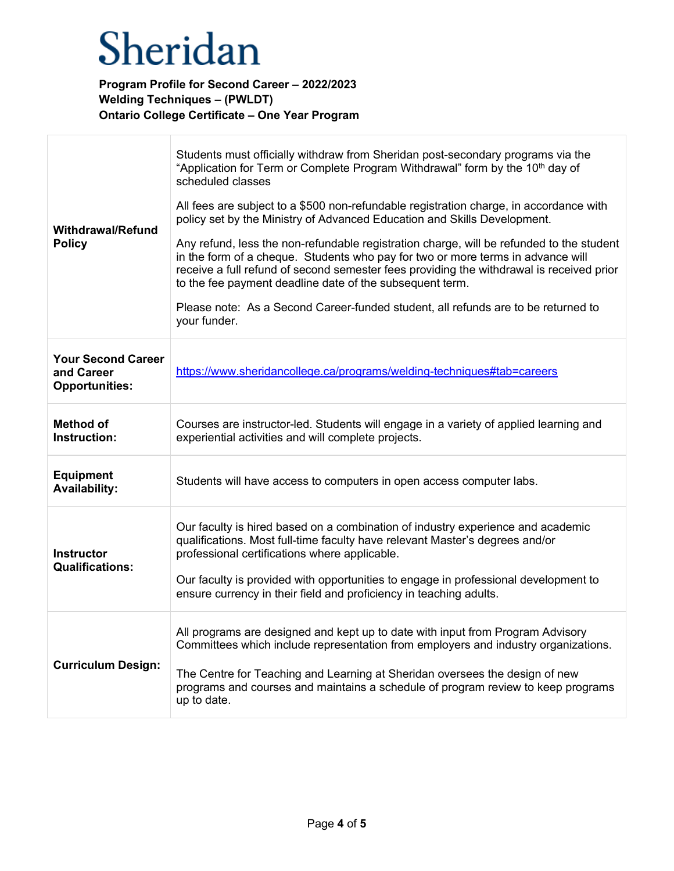| <b>Withdrawal/Refund</b><br><b>Policy</b>                        | Students must officially withdraw from Sheridan post-secondary programs via the<br>"Application for Term or Complete Program Withdrawal" form by the 10 <sup>th</sup> day of<br>scheduled classes<br>All fees are subject to a \$500 non-refundable registration charge, in accordance with<br>policy set by the Ministry of Advanced Education and Skills Development.<br>Any refund, less the non-refundable registration charge, will be refunded to the student<br>in the form of a cheque. Students who pay for two or more terms in advance will<br>receive a full refund of second semester fees providing the withdrawal is received prior<br>to the fee payment deadline date of the subsequent term.<br>Please note: As a Second Career-funded student, all refunds are to be returned to<br>your funder. |
|------------------------------------------------------------------|---------------------------------------------------------------------------------------------------------------------------------------------------------------------------------------------------------------------------------------------------------------------------------------------------------------------------------------------------------------------------------------------------------------------------------------------------------------------------------------------------------------------------------------------------------------------------------------------------------------------------------------------------------------------------------------------------------------------------------------------------------------------------------------------------------------------|
| <b>Your Second Career</b><br>and Career<br><b>Opportunities:</b> | https://www.sheridancollege.ca/programs/welding-techniques#tab=careers                                                                                                                                                                                                                                                                                                                                                                                                                                                                                                                                                                                                                                                                                                                                              |
| <b>Method of</b><br>Instruction:                                 | Courses are instructor-led. Students will engage in a variety of applied learning and<br>experiential activities and will complete projects.                                                                                                                                                                                                                                                                                                                                                                                                                                                                                                                                                                                                                                                                        |
| <b>Equipment</b><br><b>Availability:</b>                         | Students will have access to computers in open access computer labs.                                                                                                                                                                                                                                                                                                                                                                                                                                                                                                                                                                                                                                                                                                                                                |
| <b>Instructor</b><br><b>Qualifications:</b>                      | Our faculty is hired based on a combination of industry experience and academic<br>qualifications. Most full-time faculty have relevant Master's degrees and/or<br>professional certifications where applicable.<br>Our faculty is provided with opportunities to engage in professional development to<br>ensure currency in their field and proficiency in teaching adults.                                                                                                                                                                                                                                                                                                                                                                                                                                       |
| <b>Curriculum Design:</b>                                        | All programs are designed and kept up to date with input from Program Advisory<br>Committees which include representation from employers and industry organizations.<br>The Centre for Teaching and Learning at Sheridan oversees the design of new<br>programs and courses and maintains a schedule of program review to keep programs<br>up to date.                                                                                                                                                                                                                                                                                                                                                                                                                                                              |